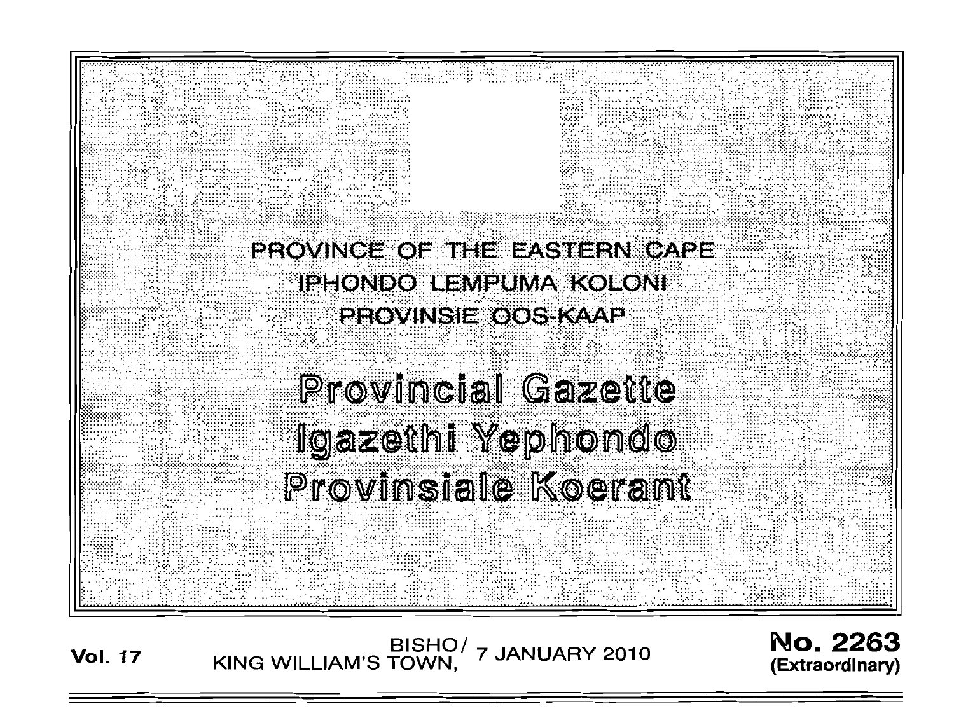

BISHO/ 7 JANUARY 2010<br>KING WILLIAM'S TOWN, 7 JANUARY 2010 **Vol. 17** 

**No. 2263** (Extraordinary)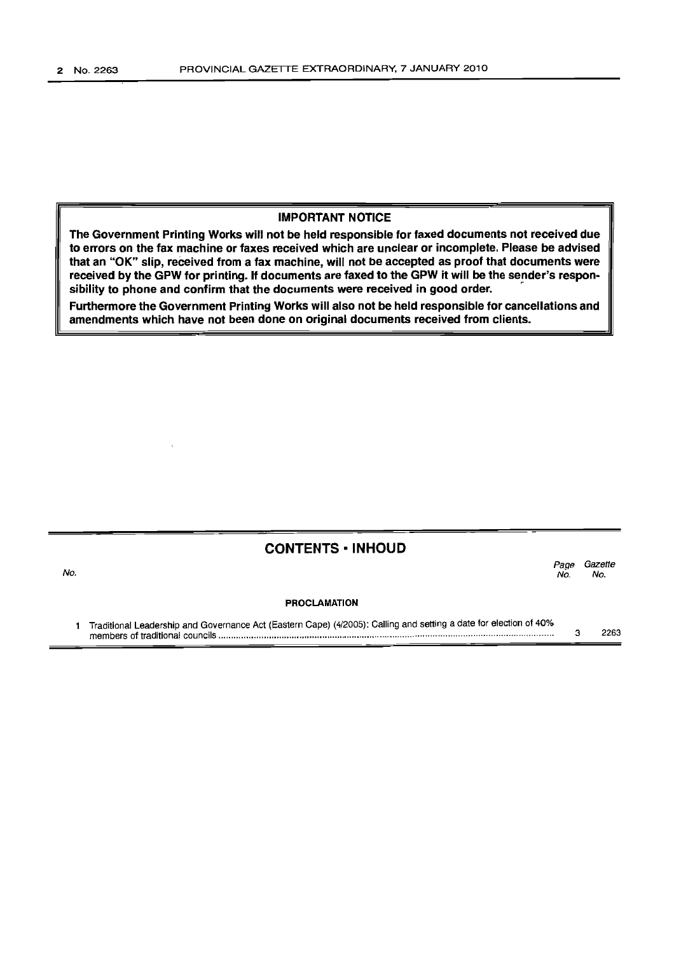$\cdot$ 

#### **IMPORTANT NOTICE**

**The Government Printing Works will not be held responsible for faxed documents not received due to errors on the fax machine or faxes received which are unclear or incomplete. Please be advised that an "OK" slip, received from a fax machine, will not be accepted as proof that documents were received by the GPW for printing. If documents are faxed to the GPW it will be the sender's responsibility to phone and confirm that the documents were received in good order.** r-

**Furthermore the Government Printing Works will also not be held responsible for cancellations and amendments which have not been done on original documents received from clients.**

#### **CONTENTS • INHOUD**

| No. |                                                                                                                   | Page<br>No. | Gazette<br>No. |
|-----|-------------------------------------------------------------------------------------------------------------------|-------------|----------------|
|     | <b>PROCLAMATION</b>                                                                                               |             |                |
|     | Treditional Loodership and Covernance Act (Eastern Cape) (4/2005): Calling and setting a date for election of 40% |             |                |

1 Traditional Leadership and Governance Act (Eastern Cape) (4/2005): Calling and setting a date for election of 40% members of traditional councils . 3 2263